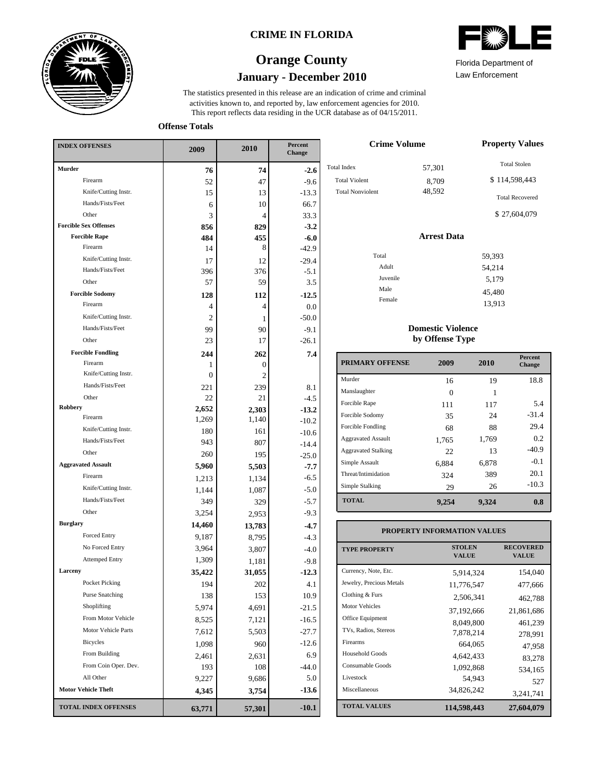

### **CRIME IN FLORIDA**

# **January - December 2010 Orange County**



Law Enforcement

13,913

This report reflects data residing in the UCR database as of 04/15/2011. activities known to, and reported by, law enforcement agencies for 2010. The statistics presented in this release are an indication of crime and criminal

**Offense Totals**

| <b>INDEX OFFENSES</b>        | 2009           | 2010           | Percent<br>Change |  |
|------------------------------|----------------|----------------|-------------------|--|
| <b>Murder</b>                | 76             | 74             | $-2.6$            |  |
| Firearm                      | 52             | 47             | $-9.6$            |  |
| Knife/Cutting Instr.         | 15             | 13             | $-13.3$           |  |
| Hands/Fists/Feet             | 6              | 10             | 66.7              |  |
| Other                        | 3              | 4              | 33.3              |  |
| <b>Forcible Sex Offenses</b> | 856            | 829            | $-3.2$            |  |
| <b>Forcible Rape</b>         | 484            | 455            | $-6.0$            |  |
| Firearm                      | 14             | 8              | $-42.9$           |  |
| Knife/Cutting Instr.         | 17             | 12             | $-29.4$           |  |
| Hands/Fists/Feet             | 396            | 376            | $-5.1$            |  |
| Other                        | 57             | 59             | 3.5               |  |
| <b>Forcible Sodomy</b>       | 128            | 112            | $-12.5$           |  |
| Firearm                      | 4              | 4              | 0.0               |  |
| Knife/Cutting Instr.         | $\overline{c}$ | 1              | $-50.0$           |  |
| Hands/Fists/Feet             | 99             | 90             | $-9.1$            |  |
| Other                        | 23             | 17             | $-26.1$           |  |
| <b>Forcible Fondling</b>     | 244            | 262            | 7.4               |  |
| Firearm                      | 1              | 0              |                   |  |
| Knife/Cutting Instr.         | $\overline{0}$ | $\overline{c}$ |                   |  |
| Hands/Fists/Feet             | 221            | 239            | 8.1               |  |
| Other                        | 22             | 21             | $-4.5$            |  |
| Robbery<br>Firearm           | 2,652          | 2,303          | $-13.2$           |  |
| Knife/Cutting Instr.         | 1,269          | 1,140          | $-10.2$           |  |
| Hands/Fists/Feet             | 180            | 161            | $-10.6$           |  |
| Other                        | 943            | 807            | $-14.4$           |  |
| <b>Aggravated Assault</b>    | 260            | 195            | $-25.0$           |  |
| Firearm                      | 5,960          | 5,503          | $-7.7$            |  |
|                              | 1,213          | 1,134          | $-6.5$            |  |
| Knife/Cutting Instr.         | 1,144          | 1,087          | $-5.0$            |  |
| Hands/Fists/Feet             | 349            | 329            | $-5.7$            |  |
| Other                        | 3,254          | 2,953          | $-9.3$            |  |
| <b>Burglary</b>              | 14,460         | 13,783         | $-4.7$            |  |
| Forced Entry                 | 9,187          | 8.795          | $-4.3$            |  |
| No Forced Entry              | 3,964          | 3,807          | $-4.0$            |  |
| <b>Attemped Entry</b>        | 1,309          | 1,181          | $-9.8$            |  |
| Larceny                      | 35,422         | 31,055         | $-12.3$           |  |
| Pocket Picking               | 194            | 202            | 4.1               |  |
| <b>Purse Snatching</b>       | 138            | 153            | 10.9              |  |
| Shoplifting                  | 5,974          | 4,691          | $-21.5$           |  |
| From Motor Vehicle           | 8,525          | 7,121          | $-16.5$           |  |
| Motor Vehicle Parts          | 7,612          | 5,503          | -27.7             |  |
| Bicycles                     | 1,098          | 960            | $-12.6$           |  |
| From Building                | 2,461          | 2,631          | 6.9               |  |
| From Coin Oper. Dev.         | 193            | 108            | $-44.0$           |  |
| All Other                    | 9,227          | 9,686          | 5.0               |  |
| <b>Motor Vehicle Theft</b>   | 4,345          | 3,754          | $-13.6$           |  |
| <b>TOTAL INDEX OFFENSES</b>  | 63,771         | 57,301         | $-10.1$           |  |

| <b>Crime Volume</b>     | <b>Property Values</b> |                        |
|-------------------------|------------------------|------------------------|
| <b>Total Index</b>      | 57,301                 | <b>Total Stolen</b>    |
| <b>Total Violent</b>    | 8,709                  | \$114,598,443          |
| <b>Total Nonviolent</b> | 48,592                 | <b>Total Recovered</b> |
|                         |                        | \$27,604,079           |
|                         | <b>Arrest Data</b>     |                        |
| Total                   |                        | 59,393                 |
| Adult                   |                        | 54,214                 |
| Juvenile                |                        | 5,179                  |
| Male                    |                        | 45,480                 |
|                         |                        |                        |

#### **Domestic Violence by Offense Type**

Female

| <b>PRIMARY OFFENSE</b>     | 2009     | 2010  | <b>Percent</b><br><b>Change</b> |
|----------------------------|----------|-------|---------------------------------|
| Murder                     | 16       | 19    | 18.8                            |
| Manslaughter               | $\Omega$ |       |                                 |
| Forcible Rape              | 111      | 117   | 5.4                             |
| Forcible Sodomy            | 35       | 24    | $-31.4$                         |
| Forcible Fondling          | 68       | 88    | 29.4                            |
| <b>Aggravated Assault</b>  | 1,765    | 1,769 | 0.2                             |
| <b>Aggravated Stalking</b> | 22.      | 13    | $-40.9$                         |
| Simple Assault             | 6,884    | 6,878 | $-0.1$                          |
| Threat/Intimidation        | 324      | 389   | 20.1                            |
| Simple Stalking            | 29       | 26    | $-10.3$                         |
| <b>TOTAL</b>               | 9,254    | 9,324 | 0.8                             |

## **PROPERTY INFORMATION VALUES**

| <b>TYPE PROPERTY</b>     | <b>STOLEN</b><br><b>VALUE</b> | <b>RECOVERED</b><br><b>VALUE</b> |
|--------------------------|-------------------------------|----------------------------------|
| Currency, Note, Etc.     | 5,914,324                     | 154,040                          |
| Jewelry, Precious Metals | 11,776,547                    | 477,666                          |
| Clothing & Furs          | 2.506.341                     | 462,788                          |
| Motor Vehicles           | 37,192,666                    | 21,861,686                       |
| Office Equipment         | 8.049.800                     | 461,239                          |
| TVs, Radios, Stereos     | 7,878,214                     | 278.991                          |
| Firearms                 | 664,065                       | 47,958                           |
| Household Goods          | 4,642,433                     | 83,278                           |
| Consumable Goods         | 1,092,868                     | 534,165                          |
| Livestock                | 54.943                        | 527                              |
| Miscellaneous            | 34,826,242                    | 3,241,741                        |
| <b>TOTAL VALUES</b>      | 114,598,443                   | 27,604,079                       |